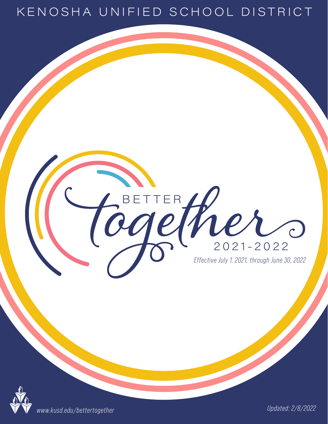#### KENOSHA UNIFIED SCHOOL DISTRICT

*Effective July 1, 2021, through June 30, 2022*

 $2021 - 2022$ 

BETTER Her



*Updated: 2/8/2022 www.kusd.edu/bettertogether*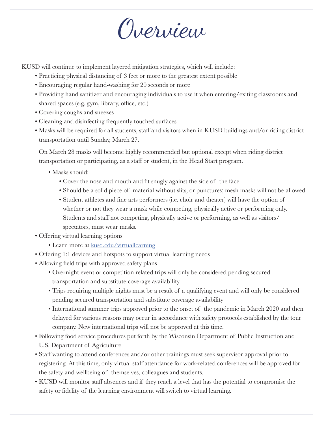Overview

KUSD will continue to implement layered mitigation strategies, which will include:

- Practicing physical distancing of 3 feet or more to the greatest extent possible
- Encouraging regular hand-washing for 20 seconds or more
- Providing hand sanitizer and encouraging individuals to use it when entering/exiting classrooms and shared spaces (e.g. gym, library, office, etc.)
- Covering coughs and sneezes
- Cleaning and disinfecting frequently touched surfaces
- Masks will be required for all students, staff and visitors when in KUSD buildings and/or riding district transportation until Sunday, March 27.

On March 28 masks will become highly recommended but optional except when riding district transportation or participating, as a staff or student, in the Head Start program.

- Masks should:
	- Cover the nose and mouth and fit snugly against the side of the face
	- Should be a solid piece of material without slits, or punctures; mesh masks will not be allowed
	- Student athletes and fine arts performers (i.e. choir and theater) will have the option of whether or not they wear a mask while competing, physically active or performing only. Students and staff not competing, physically active or performing, as well as visitors/ spectators, must wear masks.
- Offering virtual learning options
	- Learn more at kusd.edu/virtuallearning
- Offering 1:1 devices and hotspots to support virtual learning needs
- Allowing field trips with approved safety plans
	- Overnight event or competition related trips will only be considered pending secured transportation and substitute coverage availability
	- Trips requiring multiple nights must be a result of a qualifying event and will only be considered pending secured transportation and substitute coverage availability
	- International summer trips approved prior to the onset of the pandemic in March 2020 and then delayed for various reasons may occur in accordance with safety protocols established by the tour company. New international trips will not be approved at this time.
- Following food service procedures put forth by the Wisconsin Department of Public Instruction and U.S. Department of Agriculture
- Staff wanting to attend conferences and/or other trainings must seek supervisor approval prior to registering. At this time, only virtual staff attendance for work-related conferences will be approved for the safety and wellbeing of themselves, colleagues and students.
- KUSD will monitor staff absences and if they reach a level that has the potential to compromise the safety or fidelity of the learning environment will switch to virtual learning.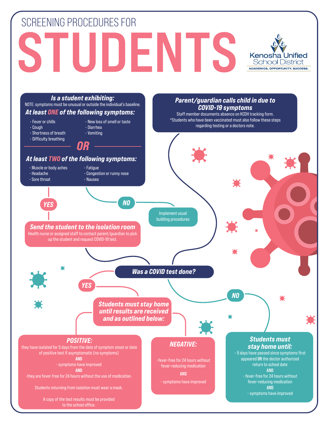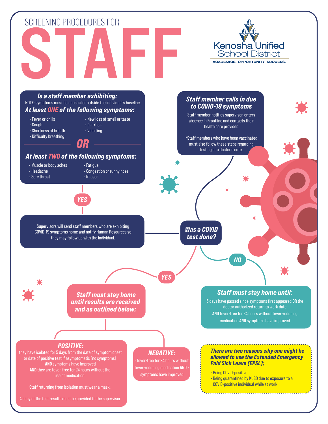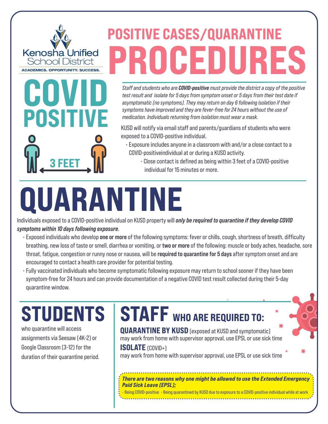## POSITIVE CASES/QUARANTINE PROCEDURES

Staff and students who are **COVID-positive** must provide the district a copy of the positive test result and isolate for 5 days from symptom onset or 5 days from their test date if asymptomatic (no symptoms). They may return on day 6 following isolation if their symptoms have improved and they are fever-free for 24 hours without the use of medication. Individuals returning from isolation must wear a mask.

KUSD will notify via email staff and parents/guardians of students who were exposed to a COVID-positive individual.

- Exposure includes anyone in a classroom with and/or a close contact to a COVID-positiveindividual at or during a KUSD activity.
- 3 FEET MINITED REFINITED REFINITION OF Close contact is defined as being within 3 feet of a COVID-positive individual for 15 minutes or more.

# QUARANTINE

Individuals exposed to a COVID-positive individual on KUSD property will *only be required to quarantine if they develop COVID* symptoms within 10 days following exposure.

- Exposed individuals who develop one or more of the following symptoms: fever or chills, cough, shortness of breath, difficulty breathing, new loss of taste or smell, diarrhea or vomiting, or two or more of the following: muscle or body aches, headache, sore throat, fatigue, congestion or runny nose or nausea, will be required to quarantine for 5 days after symptom onset and are encouraged to contact a health care provider for potential testing.
- Fully vaccinated individuals who become symptomatic following exposure may return to school sooner if they have been symptom-free for 24 hours and can provide documentation of a negative COVID test result collected during their 5-day quarantine window.

### **STUDENTS**

COVID

Kenosha Unified School District **ACADEMICS. OPPORTUNITY. SUCCESS.** 

POSITIVE

who quarantine will access assignments via Seesaw (4K-2) or Google Classroom (3-12) for the duration of their quarantine period.

#### STAFF WHO ARE REQUIRED TO:

**QUARANTINE BY KUSD** (exposed at KUSD and symptomatic) may work from home with supervisor approval, use EPSL or use sick time

#### ISOLATE (COVID+)

may work from home with supervisor approval, use EPSL or use sick time

There are two reasons why one might be allowed to use the Extended Emergency Paid Sick Leave (EPSL);

• Being COVID-positive • Being quarantined by KUSD due to exposure to a COVID-positive individual while at work